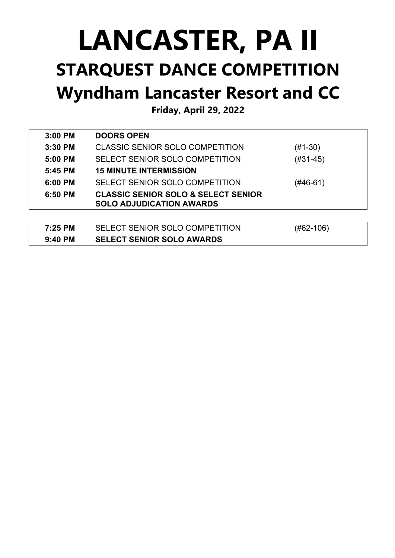## **LANCASTER, PA II STARQUEST DANCE COMPETITION Wyndham Lancaster Resort and CC**

**Friday, April 29, 2022**

| $3:00$ PM | <b>DOORS OPEN</b>                                                                 |            |
|-----------|-----------------------------------------------------------------------------------|------------|
| $3:30$ PM | CLASSIC SENIOR SOLO COMPETITION                                                   | $(#1-30)$  |
| $5:00$ PM | SELECT SENIOR SOLO COMPETITION                                                    | $(#31-45)$ |
| 5:45 PM   | <b>15 MINUTE INTERMISSION</b>                                                     |            |
| $6:00$ PM | SELECT SENIOR SOLO COMPETITION                                                    | (#46-61)   |
| $6:50$ PM | <b>CLASSIC SENIOR SOLO &amp; SELECT SENIOR</b><br><b>SOLO ADJUDICATION AWARDS</b> |            |
|           |                                                                                   |            |

| 7:25 PM   | SELECT SENIOR SOLO COMPETITION   | $(H62-106)$ |
|-----------|----------------------------------|-------------|
| $9:40$ PM | <b>SELECT SENIOR SOLO AWARDS</b> |             |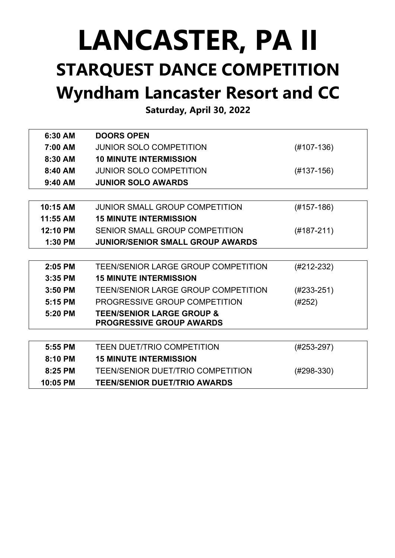## **LANCASTER, PA II STARQUEST DANCE COMPETITION Wyndham Lancaster Resort and CC**

**Saturday, April 30, 2022**

| 6:30 AM    | <b>DOORS OPEN</b>                                                       |              |
|------------|-------------------------------------------------------------------------|--------------|
| 7:00 AM    | <b>JUNIOR SOLO COMPETITION</b>                                          | $(H107-136)$ |
| 8:30 AM    | <b>10 MINUTE INTERMISSION</b>                                           |              |
| 8:40 AM    | <b>JUNIOR SOLO COMPETITION</b>                                          | $(#137-156)$ |
| $9:40$ AM  | <b>JUNIOR SOLO AWARDS</b>                                               |              |
|            |                                                                         |              |
| $10:15$ AM | <b>JUNIOR SMALL GROUP COMPETITION</b>                                   | $(H157-186)$ |
| 11:55 AM   | <b>15 MINUTE INTERMISSION</b>                                           |              |
| 12:10 PM   | SENIOR SMALL GROUP COMPETITION                                          | $(#187-211)$ |
| $1:30$ PM  | <b>JUNIOR/SENIOR SMALL GROUP AWARDS</b>                                 |              |
|            |                                                                         |              |
| 2:05 PM    | TEEN/SENIOR LARGE GROUP COMPETITION                                     | $(H212-232)$ |
| $3:35$ PM  | <b>15 MINUTE INTERMISSION</b>                                           |              |
| 3:50 PM    | <b>TEEN/SENIOR LARGE GROUP COMPETITION</b>                              | $(H233-251)$ |
| 5:15 PM    | PROGRESSIVE GROUP COMPETITION                                           | (#252)       |
| 5:20 PM    | <b>TEEN/SENIOR LARGE GROUP &amp;</b><br><b>PROGRESSIVE GROUP AWARDS</b> |              |
|            |                                                                         |              |
| 5:55 PM    | <b>TEEN DUET/TRIO COMPETITION</b>                                       | $(H253-297)$ |
| 8:10 PM    | <b>15 MINUTE INTERMISSION</b>                                           |              |
| 8:25 PM    | <b>TEEN/SENIOR DUET/TRIO COMPETITION</b>                                | (#298-330)   |
| 10:05 PM   | <b>TEEN/SENIOR DUET/TRIO AWARDS</b>                                     |              |